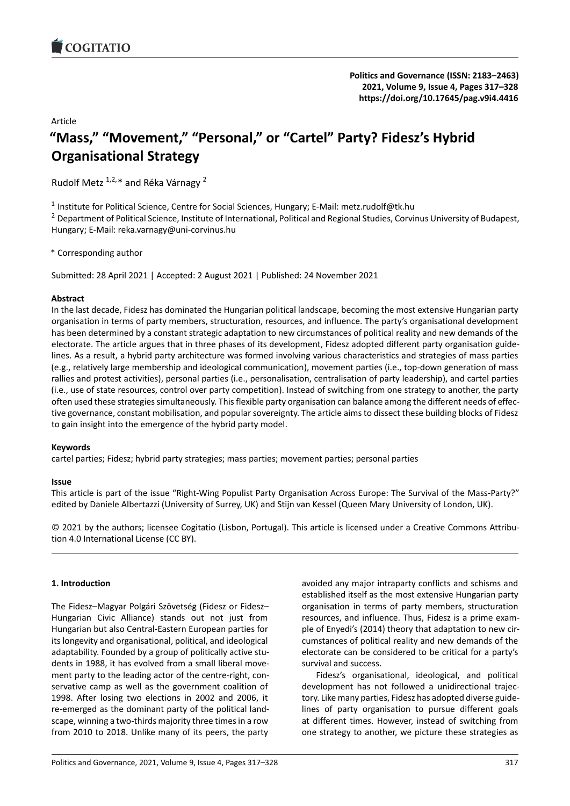# Article **"Mass," "Movement," "Personal," or "Cartel" Par[ty? Fidesz's Hybrid](https://doi.org/10.17645/pag.v9i4.4416) Organisational Strategy**

Rudolf Metz 1,2,\* and Réka Várnagy <sup>2</sup>

1 Institute for Political Science, Centre for Social Sciences, Hungary; E-Mail: metz.rudolf@tk.hu

<sup>2</sup> Department of Political Science, Institute of International, Political and Regional Studies, Corvinus University of Budapest, Hungary; E‐Mail: reka.varnagy@uni‐corvinus.hu

\* Corresponding author

Submitted: 28 April 2021 | Accepted: 2 August 2021 | Published: 24 November 2021

# **Abstract**

In the last decade, Fidesz has dominated the Hungarian political landscape, becoming the most extensive Hungarian party organisation in terms of party members, structuration, resources, and influence. The party's organisational development has been determined by a constant strategic adaptation to new circumstances of political reality and new demands of the electorate. The article argues that in three phases of its development, Fidesz adopted different party organisation guidelines. As a result, a hybrid party architecture was formed involving various characteristics and strategies of mass parties (e.g., relatively large membership and ideological communication), movement parties (i.e., top‐down generation of mass rallies and protest activities), personal parties (i.e., personalisation, centralisation of party leadership), and cartel parties (i.e., use of state resources, control over party competition). Instead of switching from one strategy to another, the party often used these strategies simultaneously. This flexible party organisation can balance among the different needs of effec‐ tive governance, constant mobilisation, and popular sovereignty. The article aims to dissect these building blocks of Fidesz to gain insight into the emergence of the hybrid party model.

# **Keywords**

cartel parties; Fidesz; hybrid party strategies; mass parties; movement parties; personal parties

### **Issue**

This article is part of the issue "Right‐Wing Populist Party Organisation Across Europe: The Survival of the Mass‐Party?" edited by Daniele Albertazzi (University of Surrey, UK) and Stijn van Kessel (Queen Mary University of London, UK).

© 2021 by the authors; licensee Cogitatio (Lisbon, Portugal). This article is licensed under a Creative Commons Attribu‐ tion 4.0 International License (CC BY).

# **1. Introduction**

The Fidesz–Magyar Polgári Szövetség (Fidesz or Fidesz– Hungarian Civic Alliance) stands out not just from Hungarian but also Central‐Eastern European parties for its longevity and organisational, political, and ideological adaptability. Founded by a group of politically active stu‐ dents in 1988, it has evolved from a small liberal move‐ ment party to the leading actor of the centre-right, conservative camp as well as the government coalition of 1998. After losing two elections in 2002 and 2006, it re‐emerged as the dominant party of the political land‐ scape, winning a two-thirds majority three times in a row from 2010 to 2018. Unlike many of its peers, the party

avoided any major intraparty conflicts and schisms and established itself as the most extensive Hungarian party organisation in terms of party members, structuration resources, and influence. Thus, Fidesz is a prime exam‐ ple of Enyedi's (2014) theory that adaptation to new circumstances of political reality and new demands of the electorate can be considered to be critical for a party's survival and success.

Fidesz's organisational, ideological, and political development has not followed a unidirectional trajec‐ tory. Like many parties, Fidesz has adopted diverse guide‐ lines of party organisation to pursue different goals at different times. However, instead of switching from one strategy to another, we picture these strategies as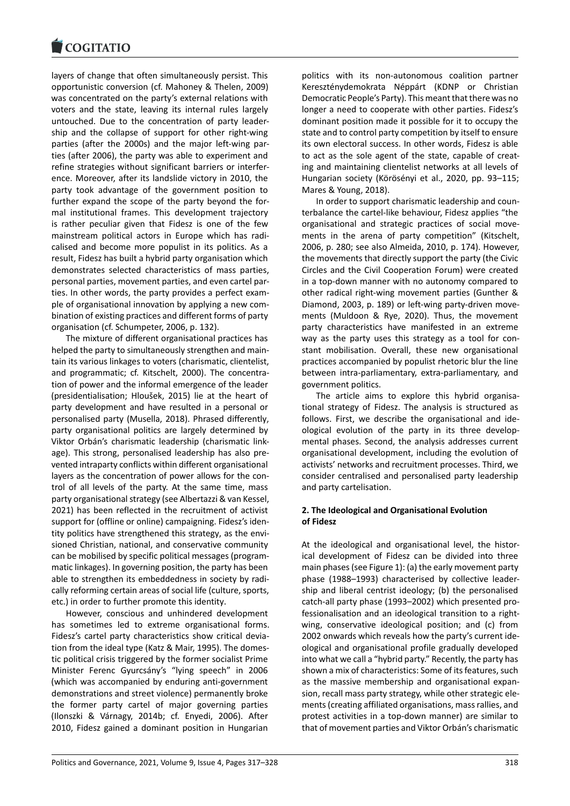layers of change that often simultaneously persist. This [opportunistic conver](https://www.cogitatiopress.com)sion (cf. Mahoney & Thelen, 2009) was concentrated on the party's external relations with voters and the state, leaving its internal rules largely untouched. Due to the concentration of party leader‐ ship and the collapse of support for other right‐wing parties (after the 2000s) and the major left-wing parties (after 2006), the party was able to experiment and refine strategies without significant barriers or interfer‐ ence. Moreover, after its landslide victory in 2010, the party took advantage of the government position to further expand the scope of the party beyond the for‐ mal institutional frames. This development trajectory is rather peculiar given that Fidesz is one of the few mainstream political actors in Europe which has radi‐ calised and become more populist in its politics. As a result, Fidesz has built a hybrid party organisation which demonstrates selected characteristics of mass parties, personal parties, movement parties, and even cartel par‐ ties. In other words, the party provides a perfect exam‐ ple of organisational innovation by applying a new com‐ bination of existing practices and different forms of party organisation (cf. Schumpeter, 2006, p. 132).

The mixture of different organisational practices has helped the party to simultaneously strengthen and main‐ tain its various linkages to voters (charismatic, clientelist, and programmatic; cf. Kitschelt, 2000). The concentration of power and the informal emergence of the leader (presidentialisation; Hloušek, 2015) lie at the heart of party development and have resulted in a personal or personalised party (Musella, 2018). Phrased differently, party organisational politics are largely determined by Viktor Orbán's charismatic leadership (charismatic link‐ age). This strong, personalised leadership has also pre‐ vented intraparty conflicts within different organisational layers as the concentration of power allows for the con‐ trol of all levels of the party. At the same time, mass party organisational strategy (see Albertazzi & van Kessel, 2021) has been reflected in the recruitment of activist support for (offline or online) campaigning. Fidesz's iden‐ tity politics have strengthened this strategy, as the envi‐ sioned Christian, national, and conservative community can be mobilised by specific political messages (program‐ matic linkages). In governing position, the party has been able to strengthen its embeddedness in society by radi‐ cally reforming certain areas of social life (culture, sports, etc.) in order to further promote this identity.

However, conscious and unhindered development has sometimes led to extreme organisational forms. Fidesz's cartel party characteristics show critical devia‐ tion from the ideal type (Katz & Mair, 1995). The domes‐ tic political crisis triggered by the former socialist Prime Minister Ferenc Gyurcsány's "lying speech" in 2006 (which was accompanied by enduring anti‐government demonstrations and street violence) permanently broke the former party cartel of major governing parties (Ilonszki & Várnagy, 2014b; cf. Enyedi, 2006). After 2010, Fidesz gained a dominant position in Hungarian

politics with its non‐autonomous coalition partner Kereszténydemokrata Néppárt (KDNP or Christian Democratic People's Party). This meant that there was no longer a need to cooperate with other parties. Fidesz's dominant position made it possible for it to occupy the state and to control party competition by itself to ensure its own electoral success. In other words, Fidesz is able to act as the sole agent of the state, capable of creat‐ ing and maintaining clientelist networks at all levels of Hungarian society (Körösényi et al., 2020, pp. 93–115; Mares & Young, 2018).

In order to support charismatic leadership and coun‐ terbalance the cartel‐like behaviour, Fidesz applies "the organisational and strategic practices of social move‐ ments in the arena of party competition" (Kitschelt, 2006, p. 280; see also Almeida, 2010, p. 174). However, the movements that directly support the party (the Civic Circles and the Civil Cooperation Forum) were created in a top‐down manner with no autonomy compared to other radical right‐wing movement parties (Gunther & Diamond, 2003, p. 189) or left-wing party-driven movements (Muldoon & Rye, 2020). Thus, the movement party characteristics have manifested in an extreme way as the party uses this strategy as a tool for constant mobilisation. Overall, these new organisational practices accompanied by populist rhetoric blur the line between intra‐parliamentary, extra‐parliamentary, and government politics.

The article aims to explore this hybrid organisational strategy of Fidesz. The analysis is structured as follows. First, we describe the organisational and ide‐ ological evolution of the party in its three develop‐ mental phases. Second, the analysis addresses current organisational development, including the evolution of activists' networks and recruitment processes. Third, we consider centralised and personalised party leadership and party cartelisation.

# **2. The Ideological and Organisational Evolution of Fidesz**

At the ideological and organisational level, the histor‐ ical development of Fidesz can be divided into three main phases (see Figure 1): (a) the early movement party phase (1988–1993) characterised by collective leader‐ ship and liberal centrist ideology; (b) the personalised catch-all party phase (1993–2002) which presented professionalisation and an ideological transition to a rightwing, conservative ideological position; and (c) from 2002 onwards which reveals how the party's current ide‐ ological and organisational profile gradually developed into what we call a "hybrid party." Recently, the party has shown a mix of characteristics: Some of its features, such as the massive membership and organisational expan‐ sion, recall mass party strategy, while other strategic ele‐ ments (creating affiliated organisations, mass rallies, and protest activities in a top‐down manner) are similar to that of movement parties and Viktor Orbán's charismatic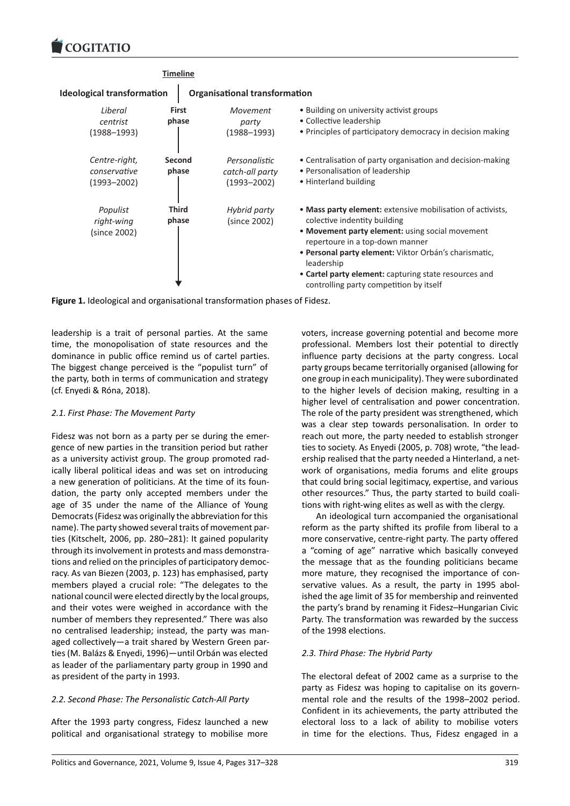

**Figure 1.** Ideological and organisational transformation phases of Fidesz.

leadership is a trait of personal parties. At the same time, the monopolisation of state resources and the dominance in public office remind us of cartel parties. The biggest change perceived is the "populist turn" of the party, both in terms of communication and strategy (cf. Enyedi & Róna, 2018).

# *2.1. First Phase: The Movement Party*

Fidesz was not born as a party per se during the emer‐ gence of new parties in the transition period but rather as a university activist group. The group promoted rad‐ ically liberal political ideas and was set on introducing a new generation of politicians. At the time of its foun‐ dation, the party only accepted members under the age of 35 under the name of the Alliance of Young Democrats (Fidesz was originally the abbreviation for this name). The party showed several traits of movement par‐ ties (Kitschelt, 2006, pp. 280–281): It gained popularity through its involvement in protests and mass demonstra‐ tions and relied on the principles of participatory democ‐ racy. As van Biezen (2003, p. 123) has emphasised, party members played a crucial role: "The delegates to the national council were elected directly by the local groups, and their votes were weighed in accordance with the number of members they represented." There was also no centralised leadership; instead, the party was man‐ aged collectively—a trait shared by Western Green par‐ ties (M. Balázs & Enyedi, 1996)—until Orbán was elected as leader of the parliamentary party group in 1990 and as president of the party in 1993.

# *2.2. Second Phase: The Personalistic Catch‐All Party*

After the 1993 party congress, Fidesz launched a new political and organisational strategy to mobilise more

voters, increase governing potential and become more professional. Members lost their potential to directly influence party decisions at the party congress. Local party groups became territorially organised (allowing for one group in each municipality). They were subordinated to the higher levels of decision making, resulting in a higher level of centralisation and power concentration. The role of the party president was strengthened, which was a clear step towards personalisation. In order to reach out more, the party needed to establish stronger ties to society. As Enyedi (2005, p. 708) wrote, "the lead‐ ership realised that the party needed a Hinterland, a net‐ work of organisations, media forums and elite groups that could bring social legitimacy, expertise, and various other resources." Thus, the party started to build coali‐ tions with right‐wing elites as well as with the clergy.

An ideological turn accompanied the organisational reform as the party shifted its profile from liberal to a more conservative, centre‐right party. The party offered a "coming of age" narrative which basically conveyed the message that as the founding politicians became more mature, they recognised the importance of conservative values. As a result, the party in 1995 abol‐ ished the age limit of 35 for membership and reinvented the party's brand by renaming it Fidesz–Hungarian Civic Party. The transformation was rewarded by the success of the 1998 elections.

# *2.3. Third Phase: The Hybrid Party*

The electoral defeat of 2002 came as a surprise to the party as Fidesz was hoping to capitalise on its govern‐ mental role and the results of the 1998–2002 period. Confident in its achievements, the party attributed the electoral loss to a lack of ability to mobilise voters in time for the elections. Thus, Fidesz engaged in a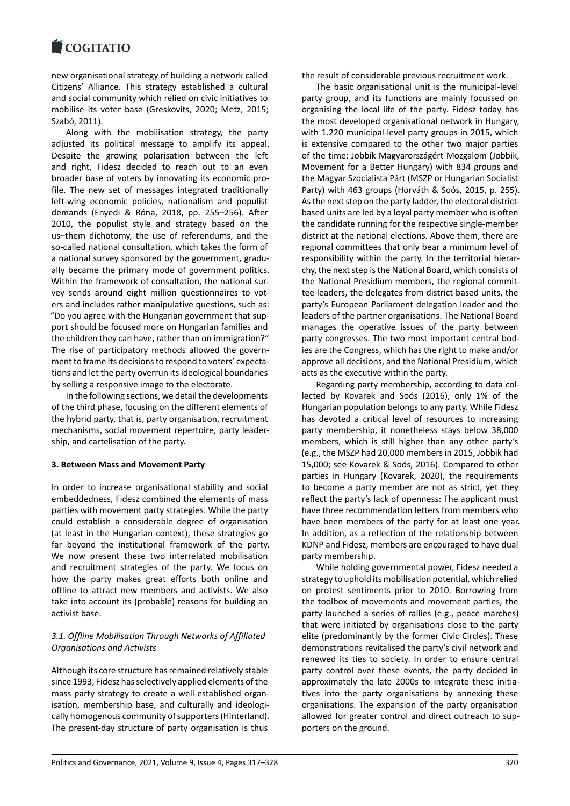new organisational strategy of building a network called [Citizens' Alliance. Th](https://www.cogitatiopress.com)is strategy established a cultural and social community which relied on civic initiatives to mobilise its voter base (Greskovits, 2020; Metz, 2015; Szabó, 2011).

Along with the mobilisation strategy, the party adjusted its political message to amplify its appeal. Despite the growing polarisation between the left and right, Fidesz decided to reach out to an even broader base of voters by innovating its economic pro‐ file. The new set of messages integrated traditionally left-wing economic policies, nationalism and populist demands (Enyedi & Róna, 2018, pp. 255–256). After 2010, the populist style and strategy based on the us–them dichotomy, the use of referendums, and the so-called national consultation, which takes the form of a national survey sponsored by the government, gradu‐ ally became the primary mode of government politics. Within the framework of consultation, the national survey sends around eight million questionnaires to vot‐ ers and includes rather manipulative questions, such as: "Do you agree with the Hungarian government that sup‐ port should be focused more on Hungarian families and the children they can have, rather than on immigration?" The rise of participatory methods allowed the govern‐ ment to frame its decisions to respond to voters' expecta‐ tions and let the party overrun its ideological boundaries by selling a responsive image to the electorate.

In the following sections, we detail the developments of the third phase, focusing on the different elements of the hybrid party, that is, party organisation, recruitment mechanisms, social movement repertoire, party leader‐ ship, and cartelisation of the party.

### **3. Between Mass and Movement Party**

In order to increase organisational stability and social embeddedness, Fidesz combined the elements of mass parties with movement party strategies. While the party could establish a considerable degree of organisation (at least in the Hungarian context), these strategies go far beyond the institutional framework of the party. We now present these two interrelated mobilisation and recruitment strategies of the party. We focus on how the party makes great efforts both online and offline to attract new members and activists. We also take into account its (probable) reasons for building an activist base.

# *3.1. Offline Mobilisation Through Networks of Affiliated Organisations and Activists*

Although its core structure has remained relatively stable since 1993, Fidesz has selectively applied elements of the mass party strategy to create a well‐established organ‐ isation, membership base, and culturally and ideologically homogenous community of supporters (Hinterland). The present-day structure of party organisation is thus

the result of considerable previous recruitment work.

The basic organisational unit is the municipal‐level party group, and its functions are mainly focussed on organising the local life of the party. Fidesz today has the most developed organisational network in Hungary, with 1.220 municipal-level party groups in 2015, which is extensive compared to the other two major parties of the time: Jobbik Magyarországért Mozgalom (Jobbik, Movement for a Better Hungary) with 834 groups and the Magyar Szocialista Párt (MSZP or Hungarian Socialist Party) with 463 groups (Horváth & Soós, 2015, p. 255). As the next step on the party ladder, the electoral district‐ based units are led by a loyal party member who is often the candidate running for the respective single‐member district at the national elections. Above them, there are regional committees that only bear a minimum level of responsibility within the party. In the territorial hierar‐ chy, the next step is the National Board, which consists of the National Presidium members, the regional commit‐ tee leaders, the delegates from district‐based units, the party's European Parliament delegation leader and the leaders of the partner organisations. The National Board manages the operative issues of the party between party congresses. The two most important central bod‐ ies are the Congress, which has the right to make and/or approve all decisions, and the National Presidium, which acts as the executive within the party.

Regarding party membership, according to data col‐ lected by Kovarek and Soós (2016), only 1% of the Hungarian population belongs to any party. While Fidesz has devoted a critical level of resources to increasing party membership, it nonetheless stays below 38,000 members, which is still higher than any other party's (e.g., the MSZP had 20,000 members in 2015, Jobbik had 15,000; see Kovarek & Soós, 2016). Compared to other parties in Hungary (Kovarek, 2020), the requirements to become a party member are not as strict, yet they reflect the party's lack of openness: The applicant must have three recommendation letters from members who have been members of the party for at least one year. In addition, as a reflection of the relationship between KDNP and Fidesz, members are encouraged to have dual party membership.

While holding governmental power, Fidesz needed a strategy to uphold its mobilisation potential, which relied on protest sentiments prior to 2010. Borrowing from the toolbox of movements and movement parties, the party launched a series of rallies (e.g., peace marches) that were initiated by organisations close to the party elite (predominantly by the former Civic Circles). These demonstrations revitalised the party's civil network and renewed its ties to society. In order to ensure central party control over these events, the party decided in approximately the late 2000s to integrate these initia‐ tives into the party organisations by annexing these organisations. The expansion of the party organisation allowed for greater control and direct outreach to sup‐ porters on the ground.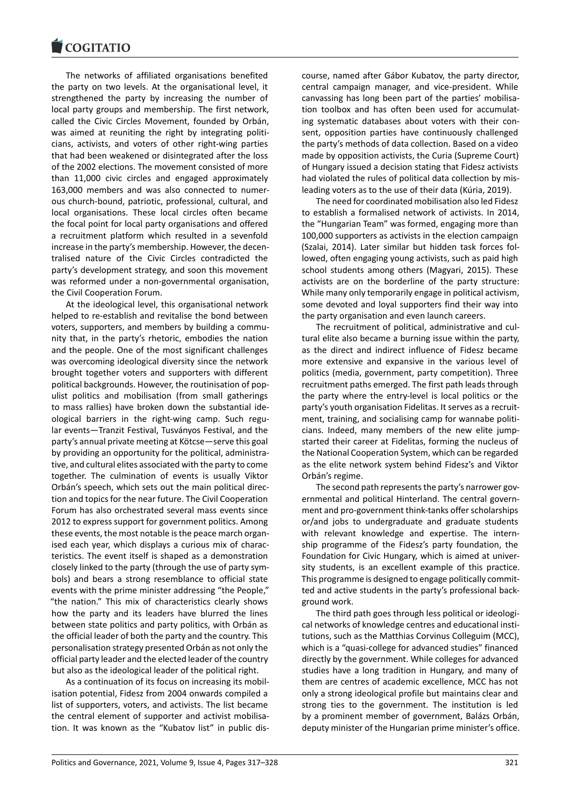#### COQUATIO

The networks of affiliated organisations benefited [the party on two le](https://www.cogitatiopress.com)vels. At the organisational level, it strengthened the party by increasing the number of local party groups and membership. The first network, called the Civic Circles Movement, founded by Orbán, was aimed at reuniting the right by integrating politicians, activists, and voters of other right‐wing parties that had been weakened or disintegrated after the loss of the 2002 elections. The movement consisted of more than 11,000 civic circles and engaged approximately 163,000 members and was also connected to numer‐ ous church‐bound, patriotic, professional, cultural, and local organisations. These local circles often became the focal point for local party organisations and offered a recruitment platform which resulted in a sevenfold increase in the party's membership. However, the decen‐ tralised nature of the Civic Circles contradicted the party's development strategy, and soon this movement was reformed under a non‐governmental organisation, the Civil Cooperation Forum.

At the ideological level, this organisational network helped to re‐establish and revitalise the bond between voters, supporters, and members by building a commu‐ nity that, in the party's rhetoric, embodies the nation and the people. One of the most significant challenges was overcoming ideological diversity since the network brought together voters and supporters with different political backgrounds. However, the routinisation of pop‐ ulist politics and mobilisation (from small gatherings to mass rallies) have broken down the substantial ide‐ ological barriers in the right‐wing camp. Such regu‐ lar events—Tranzit Festival, Tusványos Festival, and the party's annual private meeting at Kötcse—serve this goal by providing an opportunity for the political, administra‐ tive, and cultural elites associated with the party to come together. The culmination of events is usually Viktor Orbán's speech, which sets out the main political direc‐ tion and topics for the near future. The Civil Cooperation Forum has also orchestrated several mass events since 2012 to express support for government politics. Among these events, the most notable is the peace march organ‐ ised each year, which displays a curious mix of charac‐ teristics. The event itself is shaped as a demonstration closely linked to the party (through the use of party sym‐ bols) and bears a strong resemblance to official state events with the prime minister addressing "the People," "the nation." This mix of characteristics clearly shows how the party and its leaders have blurred the lines between state politics and party politics, with Orbán as the official leader of both the party and the country. This personalisation strategy presented Orbán as not only the official party leader and the elected leader of the country but also as the ideological leader of the political right.

As a continuation of its focus on increasing its mobil‐ isation potential, Fidesz from 2004 onwards compiled a list of supporters, voters, and activists. The list became the central element of supporter and activist mobilisation. It was known as the "Kubatov list" in public dis‐ course, named after Gábor Kubatov, the party director, central campaign manager, and vice‐president. While canvassing has long been part of the parties' mobilisa‐ tion toolbox and has often been used for accumulat‐ ing systematic databases about voters with their con‐ sent, opposition parties have continuously challenged the party's methods of data collection. Based on a video made by opposition activists, the Curia (Supreme Court) of Hungary issued a decision stating that Fidesz activists had violated the rules of political data collection by misleading voters as to the use of their data (Kúria, 2019).

The need for coordinated mobilisation also led Fidesz to establish a formalised network of activists. In 2014, the "Hungarian Team" was formed, engaging more than 100,000 supporters as activists in the election campaign (Szalai, 2014). Later similar but hidden task forces fol‐ lowed, often engaging young activists, such as paid high school students among others (Magyari, 2015). These activists are on the borderline of the party structure: While many only temporarily engage in political activism, some devoted and loyal supporters find their way into the party organisation and even launch careers.

The recruitment of political, administrative and cul‐ tural elite also became a burning issue within the party, as the direct and indirect influence of Fidesz became more extensive and expansive in the various level of politics (media, government, party competition). Three recruitment paths emerged. The first path leads through the party where the entry‐level is local politics or the party's youth organisation Fidelitas. It serves as a recruitment, training, and socialising camp for wannabe politicians. Indeed, many members of the new elite jump‐ started their career at Fidelitas, forming the nucleus of the National Cooperation System, which can be regarded as the elite network system behind Fidesz's and Viktor Orbán's regime.

The second path represents the party's narrower governmental and political Hinterland. The central govern‐ ment and pro‐government think‐tanks offer scholarships or/and jobs to undergraduate and graduate students with relevant knowledge and expertise. The internship programme of the Fidesz's party foundation, the Foundation for Civic Hungary, which is aimed at univer‐ sity students, is an excellent example of this practice. This programme is designed to engage politically commit‐ ted and active students in the party's professional back‐ ground work.

The third path goes through less political or ideologi‐ cal networks of knowledge centres and educational insti‐ tutions, such as the Matthias Corvinus Colleguim (MCC), which is a "quasi-college for advanced studies" financed directly by the government. While colleges for advanced studies have a long tradition in Hungary, and many of them are centres of academic excellence, MCC has not only a strong ideological profile but maintains clear and strong ties to the government. The institution is led by a prominent member of government, Balázs Orbán, deputy minister of the Hungarian prime minister's office.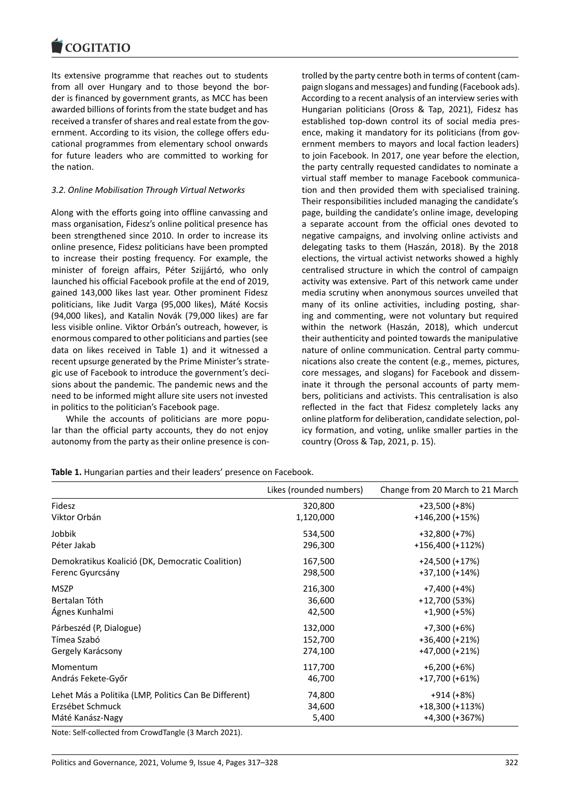Its extensive programme that reaches out to students [from all over Hunga](https://www.cogitatiopress.com)ry and to those beyond the bor‐ der is financed by government grants, as MCC has been awarded billions of forints from the state budget and has received a transfer of shares and real estate from the government. According to its vision, the college offers edu‐ cational programmes from elementary school onwards for future leaders who are committed to working for the nation.

# *3.2. Online Mobilisation Through Virtual Networks*

Along with the efforts going into offline canvassing and mass organisation, Fidesz's online political presence has been strengthened since 2010. In order to increase its online presence, Fidesz politicians have been prompted to increase their posting frequency. For example, the minister of foreign affairs, Péter Szijjártó, who only launched his official Facebook profile at the end of 2019, gained 143,000 likes last year. Other prominent Fidesz politicians, like Judit Varga (95,000 likes), Máté Kocsis (94,000 likes), and Katalin Novák (79,000 likes) are far less visible online. Viktor Orbán's outreach, however, is enormous compared to other politicians and parties (see data on likes received in Table 1) and it witnessed a recent upsurge generated by the Prime Minister's strate‐ gic use of Facebook to introduce the government's deci‐ sions about the pandemic. The pandemic news and the need to be informed might allure site users not invested in politics to the politician's Facebook page.

While the accounts of politicians are more popular than the official party accounts, they do not enjoy autonomy from the party as their online presence is con‐ trolled by the party centre both in terms of content (cam‐ paign slogans and messages) and funding (Facebook ads). According to a recent analysis of an interview series with Hungarian politicians (Oross & Tap, 2021), Fidesz has established top-down control its of social media presence, making it mandatory for its politicians (from government members to mayors and local faction leaders) to join Facebook. In 2017, one year before the election, the party centrally requested candidates to nominate a virtual staff member to manage Facebook communica‐ tion and then provided them with specialised training. Their responsibilities included managing the candidate's page, building the candidate's online image, developing a separate account from the official ones devoted to negative campaigns, and involving online activists and delegating tasks to them (Haszán, 2018). By the 2018 elections, the virtual activist networks showed a highly centralised structure in which the control of campaign activity was extensive. Part of this network came under media scrutiny when anonymous sources unveiled that many of its online activities, including posting, shar‐ ing and commenting, were not voluntary but required within the network (Haszán, 2018), which undercut their authenticity and pointed towards the manipulative nature of online communication. Central party communications also create the content (e.g., memes, pictures, core messages, and slogans) for Facebook and dissem‐ inate it through the personal accounts of party mem‐ bers, politicians and activists. This centralisation is also reflected in the fact that Fidesz completely lacks any online platform for deliberation, candidate selection, pol‐ icy formation, and voting, unlike smaller parties in the country (Oross & Tap, 2021, p. 15).

|                                                       | Likes (rounded numbers) | Change from 20 March to 21 March |
|-------------------------------------------------------|-------------------------|----------------------------------|
| Fidesz                                                | 320,800                 | +23,500 (+8%)                    |
| Viktor Orbán                                          | 1,120,000               | $+146,200 (+15%)$                |
| Jobbik                                                | 534,500                 | +32,800 (+7%)                    |
| Péter Jakab                                           | 296,300                 | +156,400 (+112%)                 |
| Demokratikus Koalició (DK, Democratic Coalition)      | 167,500                 | +24,500 (+17%)                   |
| Ferenc Gyurcsány                                      | 298,500                 | +37,100 (+14%)                   |
| <b>MSZP</b>                                           | 216,300                 | $+7,400 (+4%)$                   |
| Bertalan Tóth                                         | 36,600                  | +12,700 (53%)                    |
| Ágnes Kunhalmi                                        | 42,500                  | $+1,900 (+5%)$                   |
| Párbeszéd (P, Dialogue)                               | 132,000                 | $+7,300 (+6%)$                   |
| Tímea Szabó                                           | 152,700                 | +36,400 (+21%)                   |
| Gergely Karácsony                                     | 274,100                 | +47,000 (+21%)                   |
| Momentum                                              | 117,700                 | $+6,200 (+6%)$                   |
| András Fekete-Győr                                    | 46,700                  | +17,700 (+61%)                   |
| Lehet Más a Politika (LMP, Politics Can Be Different) | 74,800                  | $+914 (+8%)$                     |
| Erzsébet Schmuck                                      | 34,600                  | +18,300 (+113%)                  |
| Máté Kanász-Nagy                                      | 5,400                   | +4,300 (+367%)                   |

**Table 1.** Hungarian parties and their leaders' presence on Facebook.

Note: Self‐collected from CrowdTangle (3 March 2021).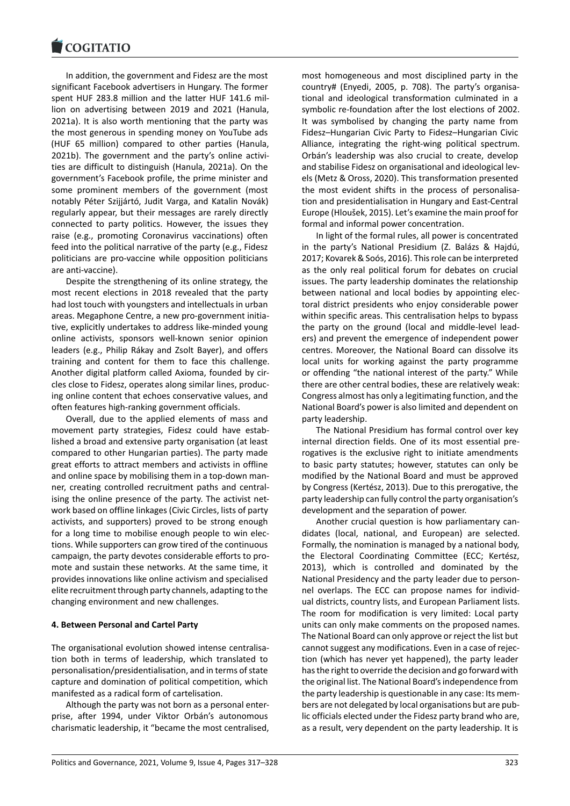In addition, the government and Fidesz are the most [significant Facebook](https://www.cogitatiopress.com) advertisers in Hungary. The former spent HUF 283.8 million and the latter HUF 141.6 mil‐ lion on advertising between 2019 and 2021 (Hanula, 2021a). It is also worth mentioning that the party was the most generous in spending money on YouTube ads (HUF 65 million) compared to other parties (Hanula, 2021b). The government and the party's online activi‐ ties are difficult to distinguish (Hanula, 2021a). On the government's Facebook profile, the prime minister and some prominent members of the government (most notably Péter Szijjártó, Judit Varga, and Katalin Novák) regularly appear, but their messages are rarely directly connected to party politics. However, the issues they raise (e.g., promoting Coronavirus vaccinations) often feed into the political narrative of the party (e.g., Fidesz politicians are pro‐vaccine while opposition politicians are anti‐vaccine).

Despite the strengthening of its online strategy, the most recent elections in 2018 revealed that the party had lost touch with youngsters and intellectuals in urban areas. Megaphone Centre, a new pro‐government initia‐ tive, explicitly undertakes to address like‐minded young online activists, sponsors well‐known senior opinion leaders (e.g., Philip Rákay and Zsolt Bayer), and offers training and content for them to face this challenge. Another digital platform called Axioma, founded by cir‐ cles close to Fidesz, operates along similar lines, produc‐ ing online content that echoes conservative values, and often features high‐ranking government officials.

Overall, due to the applied elements of mass and movement party strategies, Fidesz could have estab‐ lished a broad and extensive party organisation (at least compared to other Hungarian parties). The party made great efforts to attract members and activists in offline and online space by mobilising them in a top-down manner, creating controlled recruitment paths and central‐ ising the online presence of the party. The activist network based on offline linkages (Civic Circles, lists of party activists, and supporters) proved to be strong enough for a long time to mobilise enough people to win elec‐ tions. While supporters can grow tired of the continuous campaign, the party devotes considerable efforts to pro‐ mote and sustain these networks. At the same time, it provides innovations like online activism and specialised elite recruitment through party channels, adapting to the changing environment and new challenges.

### **4. Between Personal and Cartel Party**

The organisational evolution showed intense centralisa‐ tion both in terms of leadership, which translated to personalisation/presidentialisation, and in terms of state capture and domination of political competition, which manifested as a radical form of cartelisation.

Although the party was not born as a personal enter‐ prise, after 1994, under Viktor Orbán's autonomous charismatic leadership, it "became the most centralised, most homogeneous and most disciplined party in the country# (Enyedi, 2005, p. 708). The party's organisa‐ tional and ideological transformation culminated in a symbolic re-foundation after the lost elections of 2002. It was symbolised by changing the party name from Fidesz–Hungarian Civic Party to Fidesz–Hungarian Civic Alliance, integrating the right‐wing political spectrum. Orbán's leadership was also crucial to create, develop and stabilise Fidesz on organisational and ideological lev‐ els (Metz & Oross, 2020). This transformation presented the most evident shifts in the process of personalisation and presidentialisation in Hungary and East‐Central Europe (Hloušek, 2015). Let's examine the main proof for formal and informal power concentration.

In light of the formal rules, all power is concentrated in the party's National Presidium (Z. Balázs & Hajdú, 2017; Kovarek & Soós, 2016). This role can be interpreted as the only real political forum for debates on crucial issues. The party leadership dominates the relationship between national and local bodies by appointing elec‐ toral district presidents who enjoy considerable power within specific areas. This centralisation helps to bypass the party on the ground (local and middle‐level lead‐ ers) and prevent the emergence of independent power centres. Moreover, the National Board can dissolve its local units for working against the party programme or offending "the national interest of the party." While there are other central bodies, these are relatively weak: Congress almost has only a legitimating function, and the National Board's power is also limited and dependent on party leadership.

The National Presidium has formal control over key internal direction fields. One of its most essential pre‐ rogatives is the exclusive right to initiate amendments to basic party statutes; however, statutes can only be modified by the National Board and must be approved by Congress (Kertész, 2013). Due to this prerogative, the party leadership can fully control the party organisation's development and the separation of power.

Another crucial question is how parliamentary can‐ didates (local, national, and European) are selected. Formally, the nomination is managed by a national body, the Electoral Coordinating Committee (ECC; Kertész, 2013), which is controlled and dominated by the National Presidency and the party leader due to person‐ nel overlaps. The ECC can propose names for individ‐ ual districts, country lists, and European Parliament lists. The room for modification is very limited: Local party units can only make comments on the proposed names. The National Board can only approve or reject the list but cannot suggest any modifications. Even in a case of rejec‐ tion (which has never yet happened), the party leader has the right to override the decision and go forward with the original list. The National Board's independence from the party leadership is questionable in any case: Its mem‐ bers are not delegated by local organisations but are pub‐ lic officials elected under the Fidesz party brand who are, as a result, very dependent on the party leadership. It is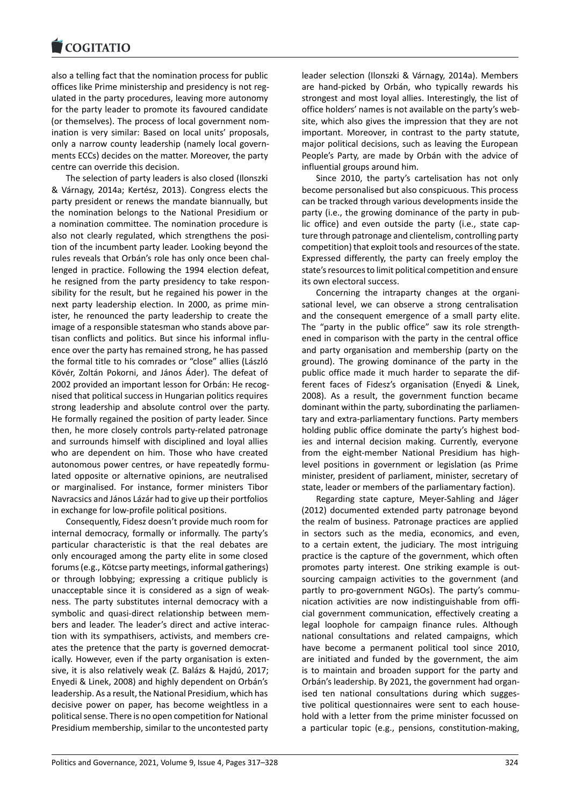#### **LOGITATIO**

also a telling fact that the nomination process for public [offices like Prime min](https://www.cogitatiopress.com)istership and presidency is not reg‐ ulated in the party procedures, leaving more autonomy for the party leader to promote its favoured candidate (or themselves). The process of local government nom‐ ination is very similar: Based on local units' proposals, only a narrow county leadership (namely local govern‐ ments ECCs) decides on the matter. Moreover, the party centre can override this decision.

The selection of party leaders is also closed (Ilonszki & Várnagy, 2014a; Kertész, 2013). Congress elects the party president or renews the mandate biannually, but the nomination belongs to the National Presidium or a nomination committee. The nomination procedure is also not clearly regulated, which strengthens the position of the incumbent party leader. Looking beyond the rules reveals that Orbán's role has only once been chal‐ lenged in practice. Following the 1994 election defeat, he resigned from the party presidency to take respon‐ sibility for the result, but he regained his power in the next party leadership election. In 2000, as prime min‐ ister, he renounced the party leadership to create the image of a responsible statesman who stands above par‐ tisan conflicts and politics. But since his informal influ‐ ence over the party has remained strong, he has passed the formal title to his comrades or "close" allies (László Kövér, Zoltán Pokorni, and János Áder). The defeat of 2002 provided an important lesson for Orbán: He recog‐ nised that political success in Hungarian politics requires strong leadership and absolute control over the party. He formally regained the position of party leader. Since then, he more closely controls party‐related patronage and surrounds himself with disciplined and loyal allies who are dependent on him. Those who have created autonomous power centres, or have repeatedly formu‐ lated opposite or alternative opinions, are neutralised or marginalised. For instance, former ministers Tibor Navracsics and János Lázár had to give up their portfolios in exchange for low‐profile political positions.

Consequently, Fidesz doesn't provide much room for internal democracy, formally or informally. The party's particular characteristic is that the real debates are only encouraged among the party elite in some closed forums (e.g., Kötcse party meetings, informal gatherings) or through lobbying; expressing a critique publicly is unacceptable since it is considered as a sign of weak‐ ness. The party substitutes internal democracy with a symbolic and quasi-direct relationship between members and leader. The leader's direct and active interac‐ tion with its sympathisers, activists, and members cre‐ ates the pretence that the party is governed democrat‐ ically. However, even if the party organisation is exten‐ sive, it is also relatively weak (Z. Balázs & Hajdú, 2017; Enyedi & Linek, 2008) and highly dependent on Orbán's leadership. As a result, the National Presidium, which has decisive power on paper, has become weightless in a political sense. There is no open competition for National Presidium membership, similar to the uncontested party

leader selection (Ilonszki & Várnagy, 2014a). Members are hand‐picked by Orbán, who typically rewards his strongest and most loyal allies. Interestingly, the list of office holders' names is not available on the party's web‐ site, which also gives the impression that they are not important. Moreover, in contrast to the party statute, major political decisions, such as leaving the European People's Party, are made by Orbán with the advice of influential groups around him.

Since 2010, the party's cartelisation has not only become personalised but also conspicuous. This process can be tracked through various developments inside the party (i.e., the growing dominance of the party in pub‐ lic office) and even outside the party (i.e., state cap‐ ture through patronage and clientelism, controlling party competition) that exploit tools and resources of the state. Expressed differently, the party can freely employ the state's resources to limit political competition and ensure its own electoral success.

Concerning the intraparty changes at the organi‐ sational level, we can observe a strong centralisation and the consequent emergence of a small party elite. The "party in the public office" saw its role strength‐ ened in comparison with the party in the central office and party organisation and membership (party on the ground). The growing dominance of the party in the public office made it much harder to separate the dif‐ ferent faces of Fidesz's organisation (Enyedi & Linek, 2008). As a result, the government function became dominant within the party, subordinating the parliamen‐ tary and extra‐parliamentary functions. Party members holding public office dominate the party's highest bod‐ ies and internal decision making. Currently, everyone from the eight-member National Presidium has highlevel positions in government or legislation (as Prime minister, president of parliament, minister, secretary of state, leader or members of the parliamentary faction).

Regarding state capture, Meyer‐Sahling and Jáger (2012) documented extended party patronage beyond the realm of business. Patronage practices are applied in sectors such as the media, economics, and even, to a certain extent, the judiciary. The most intriguing practice is the capture of the government, which often promotes party interest. One striking example is out‐ sourcing campaign activities to the government (and partly to pro-government NGOs). The party's communication activities are now indistinguishable from offi‐ cial government communication, effectively creating a legal loophole for campaign finance rules. Although national consultations and related campaigns, which have become a permanent political tool since 2010, are initiated and funded by the government, the aim is to maintain and broaden support for the party and Orbán's leadership. By 2021, the government had organ‐ ised ten national consultations during which suggestive political questionnaires were sent to each house‐ hold with a letter from the prime minister focussed on a particular topic (e.g., pensions, constitution‐making,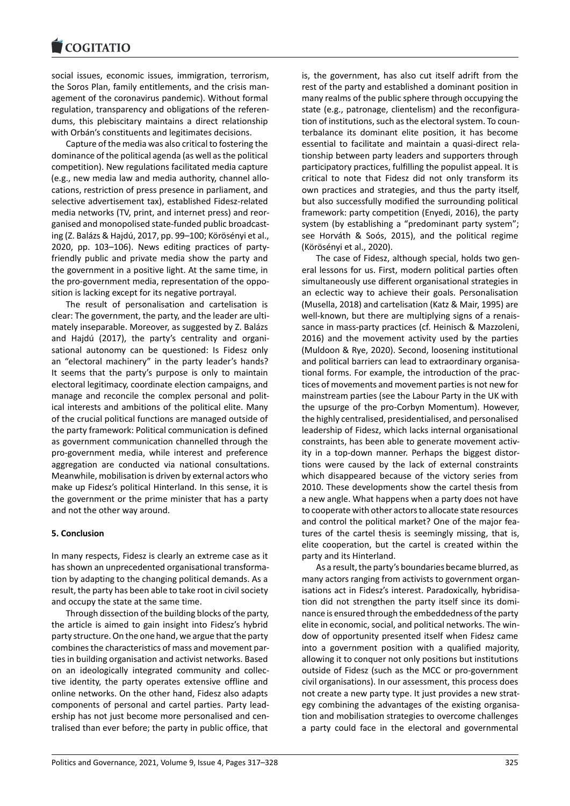#### COQUATIO

social issues, economic issues, immigration, terrorism, [the Soros Plan, fami](https://www.cogitatiopress.com)ly entitlements, and the crisis man‐ agement of the coronavirus pandemic). Without formal regulation, transparency and obligations of the referen‐ dums, this plebiscitary maintains a direct relationship with Orbán's constituents and legitimates decisions.

Capture of the media was also critical to fostering the dominance of the political agenda (as well as the political competition). New regulations facilitated media capture (e.g., new media law and media authority, channel allo‐ cations, restriction of press presence in parliament, and selective advertisement tax), established Fidesz‐related media networks (TV, print, and internet press) and reor‐ ganised and monopolised state‐funded public broadcast‐ ing (Z. Balázs & Hajdú, 2017, pp. 99–100; Körösényi et al., 2020, pp. 103–106). News editing practices of party‐ friendly public and private media show the party and the government in a positive light. At the same time, in the pro‐government media, representation of the oppo‐ sition is lacking except for its negative portrayal.

The result of personalisation and cartelisation is clear: The government, the party, and the leader are ulti‐ mately inseparable. Moreover, as suggested by Z. Balázs and Hajdú (2017), the party's centrality and organi‐ sational autonomy can be questioned: Is Fidesz only an "electoral machinery" in the party leader's hands? It seems that the party's purpose is only to maintain electoral legitimacy, coordinate election campaigns, and manage and reconcile the complex personal and political interests and ambitions of the political elite. Many of the crucial political functions are managed outside of the party framework: Political communication is defined as government communication channelled through the pro‐government media, while interest and preference aggregation are conducted via national consultations. Meanwhile, mobilisation is driven by external actors who make up Fidesz's political Hinterland. In this sense, it is the government or the prime minister that has a party and not the other way around.

# **5. Conclusion**

In many respects, Fidesz is clearly an extreme case as it has shown an unprecedented organisational transforma‐ tion by adapting to the changing political demands. As a result, the party has been able to take root in civil society and occupy the state at the same time.

Through dissection of the building blocks of the party, the article is aimed to gain insight into Fidesz's hybrid party structure. On the one hand, we argue that the party combines the characteristics of mass and movement par‐ ties in building organisation and activist networks. Based on an ideologically integrated community and collec‐ tive identity, the party operates extensive offline and online networks. On the other hand, Fidesz also adapts components of personal and cartel parties. Party lead‐ ership has not just become more personalised and cen‐ tralised than ever before; the party in public office, that is, the government, has also cut itself adrift from the rest of the party and established a dominant position in many realms of the public sphere through occupying the state (e.g., patronage, clientelism) and the reconfigura‐ tion of institutions, such as the electoral system. To coun‐ terbalance its dominant elite position, it has become essential to facilitate and maintain a quasi‐direct rela‐ tionship between party leaders and supporters through participatory practices, fulfilling the populist appeal. It is critical to note that Fidesz did not only transform its own practices and strategies, and thus the party itself, but also successfully modified the surrounding political framework: party competition (Enyedi, 2016), the party system (by establishing a "predominant party system"; see Horváth & Soós, 2015), and the political regime (Körösényi et al., 2020).

The case of Fidesz, although special, holds two gen‐ eral lessons for us. First, modern political parties often simultaneously use different organisational strategies in an eclectic way to achieve their goals. Personalisation (Musella, 2018) and cartelisation (Katz & Mair, 1995) are well-known, but there are multiplying signs of a renaissance in mass-party practices (cf. Heinisch & Mazzoleni, 2016) and the movement activity used by the parties (Muldoon & Rye, 2020). Second, loosening institutional and political barriers can lead to extraordinary organisational forms. For example, the introduction of the prac‐ tices of movements and movement parties is not new for mainstream parties (see the Labour Party in the UK with the upsurge of the pro‐Corbyn Momentum). However, the highly centralised, presidentialised, and personalised leadership of Fidesz, which lacks internal organisational constraints, has been able to generate movement activity in a top-down manner. Perhaps the biggest distortions were caused by the lack of external constraints which disappeared because of the victory series from 2010. These developments show the cartel thesis from a new angle. What happens when a party does not have to cooperate with other actors to allocate state resources and control the political market? One of the major features of the cartel thesis is seemingly missing, that is, elite cooperation, but the cartel is created within the party and its Hinterland.

As a result, the party's boundaries became blurred, as many actors ranging from activists to government organ‐ isations act in Fidesz's interest. Paradoxically, hybridisation did not strengthen the party itself since its domi‐ nance is ensured through the embeddedness of the party elite in economic, social, and political networks. The win‐ dow of opportunity presented itself when Fidesz came into a government position with a qualified majority, allowing it to conquer not only positions but institutions outside of Fidesz (such as the MCC or pro‐government civil organisations). In our assessment, this process does not create a new party type. It just provides a new strat‐ egy combining the advantages of the existing organisation and mobilisation strategies to overcome challenges a party could face in the electoral and governmental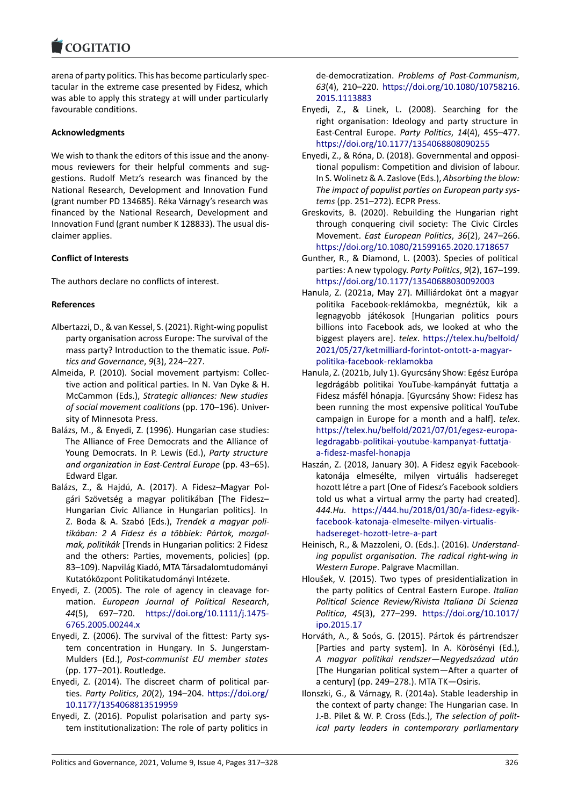#### **LOGITATIO**

arena of party politics. This has become particularly spec‐ [tacular in the extrem](https://www.cogitatiopress.com)e case presented by Fidesz, which was able to apply this strategy at will under particularly favourable conditions.

### **Acknowledgments**

We wish to thank the editors of this issue and the anonymous reviewers for their helpful comments and sug‐ gestions. Rudolf Metz's research was financed by the National Research, Development and Innovation Fund (grant number PD 134685). Réka Várnagy's research was financed by the National Research, Development and Innovation Fund (grant number K 128833). The usual dis‐ claimer applies.

### **Conflict of Interests**

The authors declare no conflicts of interest.

### **References**

- Albertazzi, D., & van Kessel, S. (2021). Right‐wing populist party organisation across Europe: The survival of the mass party? Introduction to the thematic issue. *Poli‐ tics and Governance*, *9*(3), 224–227.
- Almeida, P. (2010). Social movement partyism: Collec‐ tive action and political parties. In N. Van Dyke & H. McCammon (Eds.), *Strategic alliances: New studies of social movement coalitions* (pp. 170–196). Univer‐ sity of Minnesota Press.
- Balázs, M., & Enyedi, Z. (1996). Hungarian case studies: The Alliance of Free Democrats and the Alliance of Young Democrats. In P. Lewis (Ed.), *Party structure and organization in East‐Central Europe* (pp. 43–65). Edward Elgar.
- Balázs, Z., & Hajdú, A. (2017). A Fidesz–Magyar Pol‐ gári Szövetség a magyar politikában [The Fidesz– Hungarian Civic Alliance in Hungarian politics]. In Z. Boda & A. Szabó (Eds.), *Trendek a magyar poli‐ tikában: 2 A Fidesz és a többiek: Pártok, mozgal‐ mak, politikák* [Trends in Hungarian politics: 2 Fidesz and the others: Parties, movements, policies] (pp. 83–109). Napvilág Kiadó, MTA Társadalomtudományi Kutatóközpont Politikatudományi Intézete.
- Enyedi, Z. (2005). The role of agency in cleavage for‐ mation. *European Journal of Political Research*, *44*(5), 697–720. https://doi.org/10.1111/j.1475‐ 6765.2005.00244.x
- Enyedi, Z. (2006). The survival of the fittest: Party sys‐ tem concentration in Hungary. In S. Jungerstam‐ Mulders (Ed.), *Post[‐communist EU member states](https://doi.org/10.1111/j.1475-6765.2005.00244.x)* [\(pp. 177–201\). Rout](https://doi.org/10.1111/j.1475-6765.2005.00244.x)ledge.
- Enyedi, Z. (2014). The discreet charm of political par‐ ties. *Party Politics*, *20*(2), 194–204. https://doi.org/ 10.1177/1354068813519959
- Enyedi, Z. (2016). Populist polarisation and party sys‐ tem institutionalization: The role of party politics in

de‐democratization. *Problems of Post‐Communism*, *63*(4), 210–220. https://doi.org/10.1080/10758216. 2015.1113883

- Enyedi, Z., & Linek, L. (2008). Searching for the right organisation: Ideology and party structure in East‐Central Europe. *Party Politics*, *14*[\(4\), 455–477.](https://doi.org/10.1080/10758216.2015.1113883) [https://doi.org](https://doi.org/10.1080/10758216.2015.1113883)/10.1177/1354068808090255
- Enyedi, Z., & Róna, D. (2018). Governmental and opposi‐ tional populism: Competition and division of labour. In S. Wolinetz & A. Zaslove (Eds.), *Absorbing the blow: [The impact of populist parties on European pa](https://doi.org/10.1177/1354068808090255)rty sys‐ tems* (pp. 251–272). ECPR Press.
- Greskovits, B. (2020). Rebuilding the Hungarian right through conquering civil society: The Civic Circles Movement. *East European Politics*, *36*(2), 247–266. https://doi.org/10.1080/21599165.2020.1718657
- Gunther, R., & Diamond, L. (2003). Species of political parties: A new typology. *Party Politics*, *9*(2), 167–199. https://doi.org/10.1177/13540688030092003
- Ha[nula, Z. \(2021a, May 27\). Milliárdokat önt a magy](https://doi.org/10.1080/21599165.2020.1718657)ar politika Facebook‐reklámokba, megnéztük, kik a legnagyobb játékosok [Hungarian politics pours [billions into Facebook ads, we looked at wh](https://doi.org/10.1177/13540688030092003)o the biggest players are]. *telex*. https://telex.hu/belfold/ 2021/05/27/ketmilliard‐forintot‐ontott‐a‐magyar‐ politika‐facebook‐reklamokba
- Hanula, Z. (2021b, July 1). Gyurcsány Show: Egész Európa legdrágább politikai YouTu[be‐kampányát futtatja a](https://telex.hu/belfold/2021/05/27/ketmilliard-forintot-ontott-a-magyar-politika-facebook-reklamokba) [Fidesz másfél hónapja. \[Gyurcsány Show: Fidesz ha](https://telex.hu/belfold/2021/05/27/ketmilliard-forintot-ontott-a-magyar-politika-facebook-reklamokba)s [been running the most expen](https://telex.hu/belfold/2021/05/27/ketmilliard-forintot-ontott-a-magyar-politika-facebook-reklamokba)sive political YouTube campaign in Europe for a month and a half]. *telex*. https://telex.hu/belfold/2021/07/01/egesz‐europa‐ legdragabb‐politikai‐youtube‐kampanyat‐futtatja‐ a‐fidesz‐masfel‐honapja
- Haszán, Z. (2018, January 30). A Fidesz egyik Facebook‐ [katonája elmesélte, milyen virtuális hadsereget](https://telex.hu/belfold/2021/07/01/egesz-europa-legdragabb-politikai-youtube-kampanyat-futtatja-a-fidesz-masfel-honapja) [hozott létre a part \[One of Fidesz's Facebook soldie](https://telex.hu/belfold/2021/07/01/egesz-europa-legdragabb-politikai-youtube-kampanyat-futtatja-a-fidesz-masfel-honapja)rs [told us what a virtual ar](https://telex.hu/belfold/2021/07/01/egesz-europa-legdragabb-politikai-youtube-kampanyat-futtatja-a-fidesz-masfel-honapja)my the party had created]. *444.Hu*. https://444.hu/2018/01/30/a‐fidesz‐egyik‐ facebook‐katonaja‐elmeselte‐milyen‐virtualis‐ hadsereget‐hozott‐letre‐a‐part
- Heinisch, R., & Mazzoleni, O. (Eds.). (2016). *Understand‐ ing popu[list organisation. The radical right‐wing in](https://444.hu/2018/01/30/a-fidesz-egyik-facebook-katonaja-elmeselte-milyen-virtualis-hadsereget-hozott-letre-a-part) Western Europe*[. Palgrave Macmillan.](https://444.hu/2018/01/30/a-fidesz-egyik-facebook-katonaja-elmeselte-milyen-virtualis-hadsereget-hozott-letre-a-part)
- Hlo[ušek, V. \(2015\). Two types of p](https://444.hu/2018/01/30/a-fidesz-egyik-facebook-katonaja-elmeselte-milyen-virtualis-hadsereget-hozott-letre-a-part)residentialization in the party politics of Central Eastern Europe. *Italian Political Science Review/Rivista Italiana Di Scienza Politica*, *45*(3), 277–299. https://doi.org/10.1017/ ipo.2015.17
- Horváth, A., & Soós, G. (2015). Pártok és pártrendszer [Parties and party system]. In A. Körösényi (Ed.), *A magyar politikai rends[zer—Negyedszázad után](https://doi.org/10.1017/ipo.2015.17)* [\[The Hungar](https://doi.org/10.1017/ipo.2015.17)ian political system—After a quarter of a century] (pp. 249–278.). MTA TK—Osiris.
- Ilonszki, G., & Várnagy, R. (2014a). Stable leadership in the context of party change: The Hungarian case. In J.‐B. Pilet & W. P. Cross (Eds.), *The selection of polit‐ ical party leaders in contemporary parliamentary*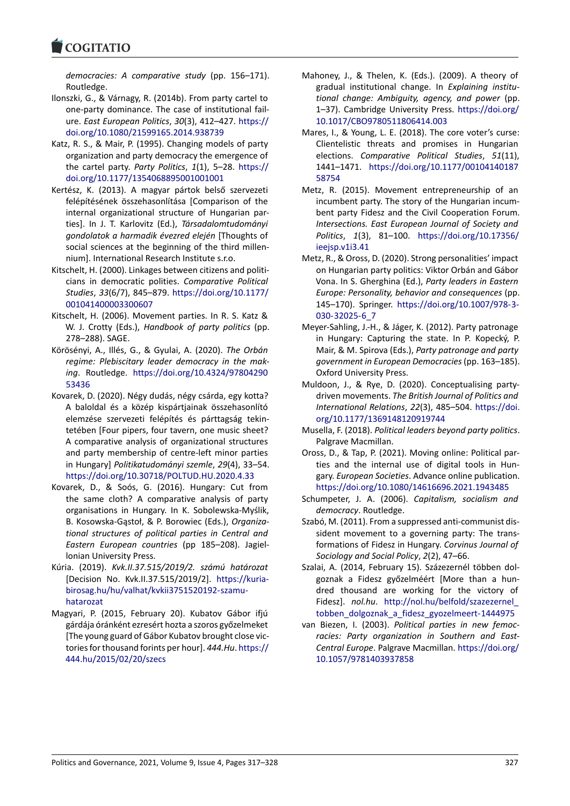#### COGHALIO

*democracies: A comparative study* (pp. 156–171). Routledge.

- [Ilonszki, G., & Várna](https://www.cogitatiopress.com)gy, R. (2014b). From party cartel to one‐party dominance. The case of institutional fail‐ ure. *East European Politics*, *30*(3), 412–427. https:// doi.org/10.1080/21599165.2014.938739
- Katz, R. S., & Mair, P. (1995). Changing models of party organization and party democracy the emergence of the cartel party. *Party Politics*, *1*(1), 5–28. [https://](https://doi.org/10.1080/21599165.2014.938739) [doi.org/10.1177/1354068895001001001](https://doi.org/10.1080/21599165.2014.938739)
- Kertész, K. (2013). A magyar pártok belső szervezeti felépítésének összehasonlítása [Comparison of the internal organizational structure of Hungar[ian par‐](https://doi.org/10.1177/1354068895001001001) [ties\]. In J. T. Karlovitz \(Ed.\),](https://doi.org/10.1177/1354068895001001001) *Társadalomtudományi gondolatok a harmadik évezred elején* [Thoughts of social sciences at the beginning of the third millennium]. International Research Institute s.r.o.
- Kitschelt, H. (2000). Linkages between citizens and politi‐ cians in democratic polities. *Comparative Political Studies*, *33*(6/7), 845–879. https://doi.org/10.1177/ 001041400003300607
- Kitschelt, H. (2006). Movement parties. In R. S. Katz & W. J. Crotty (Eds.), *Handbook of party politics* (pp. 278–288). SAGE.
- Kör[ösényi, A., Illés, G., &](https://doi.org/10.1177/001041400003300607) Gyul[ai, A. \(2020\).](https://doi.org/10.1177/001041400003300607) *The Orbán regime: Plebiscitary leader democracy in the mak‐ ing*. Routledge. https://doi.org/10.4324/97804290 53436
- Kovarek, D. (2020). Négy dudás, négy csárda, egy kotta? A baloldal és a közép kispártjainak összehasonlító elemzése szerve[zeti felépítés és párttagság tekin‐](https://doi.org/10.4324/9780429053436) [tetébe](https://doi.org/10.4324/9780429053436)n [Four pipers, four tavern, one music sheet? A comparative analysis of organizational structures and party membership of centre‐left minor parties in Hungary] *Politikatudományi szemle*, *29*(4), 33–54. https://doi.org/10.30718/POLTUD.HU.2020.4.33
- Kovarek, D., & Soós, G. (2016). Hungary: Cut from the same cloth? A comparative analysis of party organisations in Hungary. In K. Sobolewska‐Myślik, [B. Kosowska‐Gąstoł, & P. Borowiec \(Eds.\),](https://doi.org/10.30718/POLTUD.HU.2020.4.33) *Organiza‐ tional structures of political parties in Central and Eastern European countries* (pp 185–208). Jagiel‐ lonian University Press.
- Kúria. (2019). *Kvk.II.37.515/2019/2. számú határozat* [Decision No. Kvk.II.37.515/2019/2]. https://kuria‐ birosag.hu/hu/valhat/kvkii3751520192‐szamu‐ hatarozat
- Magyari, P. (2015, February 20). Kubatov Gábor ifjú gárdája óránként ezresért hozta a szoro[s győzelmeket](https://kuria-birosag.hu/hu/valhat/kvkii3751520192-szamu-hatarozat) [\[The young guard of Gábor Kubatov brought clos](https://kuria-birosag.hu/hu/valhat/kvkii3751520192-szamu-hatarozat)e vic‐ [tories for t](https://kuria-birosag.hu/hu/valhat/kvkii3751520192-szamu-hatarozat)housand forints per hour]. *444.Hu*. https:// 444.hu/2015/02/20/szecs
- Mahoney, J., & Thelen, K. (Eds.). (2009). A theory of gradual institutional change. In *Explaining institu‐ tional change: Ambiguity, agency, and power* (pp. 1–37). Cambridge University Press. https://doi.org/ 10.1017/CBO9780511806414.003
- Mares, I., & Young, L. E. (2018). The core voter's curse: Clientelistic threats and promises in Hungarian elections. *Comparative Political [Studies](https://doi.org/10.1017/CBO9780511806414.003)*, *51*(11), 1441–1471. [https://doi.org/10.1](https://doi.org/10.1017/CBO9780511806414.003)177/00104140187 58754
- Metz, R. (2015). Movement entrepreneurship of an incumbent party. The story of the Hungarian incum‐ bent party Fi[desz and the Civil Cooperation Forum.](https://doi.org/10.1177/0010414018758754) *[Interse](https://doi.org/10.1177/0010414018758754)ctions. East European Journal of Society and Politics*, *1*(3), 81–100. https://doi.org/10.17356/ ieejsp.v1i3.41
- Metz, R., & Oross, D. (2020). Strong personalities' impact on Hungarian party politics: Viktor Orbán and Gábor Vona. In S. Gherghina (Ed.), *[Party leaders in Eastern](https://doi.org/10.17356/ieejsp.v1i3.41) [Europe: Person](https://doi.org/10.17356/ieejsp.v1i3.41)ality, behavior and consequences* (pp. 145–170). Springer. https://doi.org/10.1007/978‐3‐ 030‐32025‐6\_7
- Meyer‐Sahling, J.‐H., & Jáger, K. (2012). Party patronage in Hungary: Capturing the state. In P. Kopecký, P. Mair, & M. Spirova (Eds.), *[Party patronage and party](https://doi.org/10.1007/978-3-030-32025-6_7) [government in E](https://doi.org/10.1007/978-3-030-32025-6_7)uropean Democracies*(pp. 163–185). Oxford University Press.
- Muldoon, J., & Rye, D. (2020). Conceptualising party‐ driven movements. *The British Journal of Politics and International Relations*, *22*(3), 485–504. https://doi. org/10.1177/1369148120919744
- Musella, F. (2018). *Political leaders beyond party politics*. Palgrave Macmillan.
- Oross, D., & Tap, P. (2021). Moving online: [Political par‐](https://doi.org/10.1177/1369148120919744) [ties and the internal use of dig](https://doi.org/10.1177/1369148120919744)ital tools in Hun‐ gary. *European Societies*. Advance online publication. https://doi.org/10.1080/14616696.2021.1943485
- Schumpeter, J. A. (2006). *Capitalism, socialism and democracy*. Routledge.
- Szabó, M. (2011). From a suppressed anti‐communist dis‐ [sident movement to a governing party: The tran](https://doi.org/10.1080/14616696.2021.1943485)s‐ formations of Fidesz in Hungary. *Corvinus Journal of Sociology and Social Policy*, *2*(2), 47–66.
- Szalai, A. (2014, February 15). Százezernél többen dol‐ goznak a Fidesz győzelméért [More than a hun‐ dred thousand are working for the victory of Fidesz]. *nol.hu*. http://nol.hu/belfold/szazezernel\_ tobben dolgoznak a fidesz gyozelmeert-1444975
- van Biezen, I. (2003). *Political parties in new femoc‐ racies: Party organization in Southern and East‐ Central Europe*. P[algrave Macmillan.](http://nol.hu/belfold/szazezernel_tobben_dolgoznak_a_fidesz_gyozelmeert-1444975) https://doi.org/ [10.1057/9781403937858](http://nol.hu/belfold/szazezernel_tobben_dolgoznak_a_fidesz_gyozelmeert-1444975)